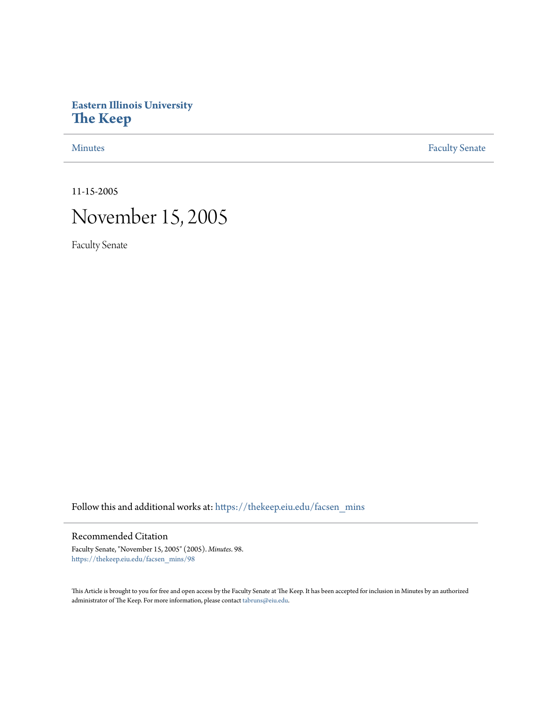# **Eastern Illinois University [The Keep](https://thekeep.eiu.edu?utm_source=thekeep.eiu.edu%2Ffacsen_mins%2F98&utm_medium=PDF&utm_campaign=PDFCoverPages)**

[Minutes](https://thekeep.eiu.edu/facsen_mins?utm_source=thekeep.eiu.edu%2Ffacsen_mins%2F98&utm_medium=PDF&utm_campaign=PDFCoverPages) **[Faculty Senate](https://thekeep.eiu.edu/fac_senate?utm_source=thekeep.eiu.edu%2Ffacsen_mins%2F98&utm_medium=PDF&utm_campaign=PDFCoverPages)** 

11-15-2005

# November 15, 2005

Faculty Senate

Follow this and additional works at: [https://thekeep.eiu.edu/facsen\\_mins](https://thekeep.eiu.edu/facsen_mins?utm_source=thekeep.eiu.edu%2Ffacsen_mins%2F98&utm_medium=PDF&utm_campaign=PDFCoverPages)

## Recommended Citation

Faculty Senate, "November 15, 2005" (2005). *Minutes*. 98. [https://thekeep.eiu.edu/facsen\\_mins/98](https://thekeep.eiu.edu/facsen_mins/98?utm_source=thekeep.eiu.edu%2Ffacsen_mins%2F98&utm_medium=PDF&utm_campaign=PDFCoverPages)

This Article is brought to you for free and open access by the Faculty Senate at The Keep. It has been accepted for inclusion in Minutes by an authorized administrator of The Keep. For more information, please contact [tabruns@eiu.edu.](mailto:tabruns@eiu.edu)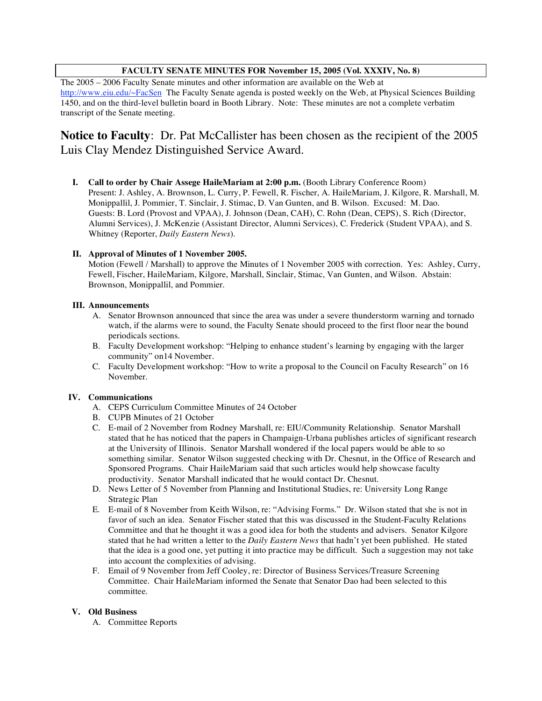### **FACULTY SENATE MINUTES FOR November 15, 2005 (Vol. XXXIV, No. 8)**

The 2005 – 2006 Faculty Senate minutes and other information are available on the Web at http://www.eiu.edu/~FacSen The Faculty Senate agenda is posted weekly on the Web, at Physical Sciences Building 1450, and on the third-level bulletin board in Booth Library. Note: These minutes are not a complete verbatim transcript of the Senate meeting.

## **Notice to Faculty**: Dr. Pat McCallister has been chosen as the recipient of the 2005 Luis Clay Mendez Distinguished Service Award.

**I. Call to order by Chair Assege HaileMariam at 2:00 p.m.** (Booth Library Conference Room) Present: J. Ashley, A. Brownson, L. Curry, P. Fewell, R. Fischer, A. HaileMariam, J. Kilgore, R. Marshall, M. Monippallil, J. Pommier, T. Sinclair, J. Stimac, D. Van Gunten, and B. Wilson. Excused: M. Dao. Guests: B. Lord (Provost and VPAA), J. Johnson (Dean, CAH), C. Rohn (Dean, CEPS), S. Rich (Director, Alumni Services), J. McKenzie (Assistant Director, Alumni Services), C. Frederick (Student VPAA), and S. Whitney (Reporter, *Daily Eastern News*).

#### **II. Approval of Minutes of 1 November 2005.**

Motion (Fewell / Marshall) to approve the Minutes of 1 November 2005 with correction. Yes: Ashley, Curry, Fewell, Fischer, HaileMariam, Kilgore, Marshall, Sinclair, Stimac, Van Gunten, and Wilson. Abstain: Brownson, Monippallil, and Pommier.

#### **III. Announcements**

- A. Senator Brownson announced that since the area was under a severe thunderstorm warning and tornado watch, if the alarms were to sound, the Faculty Senate should proceed to the first floor near the bound periodicals sections.
- B. Faculty Development workshop: "Helping to enhance student's learning by engaging with the larger community" on14 November.
- C. Faculty Development workshop: "How to write a proposal to the Council on Faculty Research" on 16 November.

#### **IV. Communications**

- A. CEPS Curriculum Committee Minutes of 24 October
- B. CUPB Minutes of 21 October
- C. E-mail of 2 November from Rodney Marshall, re: EIU/Community Relationship. Senator Marshall stated that he has noticed that the papers in Champaign-Urbana publishes articles of significant research at the University of Illinois. Senator Marshall wondered if the local papers would be able to so something similar. Senator Wilson suggested checking with Dr. Chesnut, in the Office of Research and Sponsored Programs. Chair HaileMariam said that such articles would help showcase faculty productivity. Senator Marshall indicated that he would contact Dr. Chesnut.
- D. News Letter of 5 November from Planning and Institutional Studies, re: University Long Range Strategic Plan
- E. E-mail of 8 November from Keith Wilson, re: "Advising Forms." Dr. Wilson stated that she is not in favor of such an idea. Senator Fischer stated that this was discussed in the Student-Faculty Relations Committee and that he thought it was a good idea for both the students and advisers. Senator Kilgore stated that he had written a letter to the *Daily Eastern News* that hadn't yet been published. He stated that the idea is a good one, yet putting it into practice may be difficult. Such a suggestion may not take into account the complexities of advising.
- F. Email of 9 November from Jeff Cooley, re: Director of Business Services/Treasure Screening Committee. Chair HaileMariam informed the Senate that Senator Dao had been selected to this committee.

#### **V. Old Business**

A. Committee Reports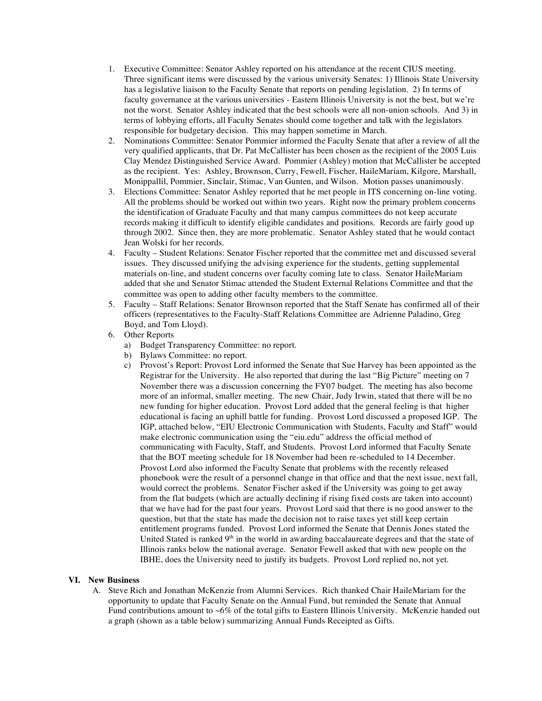- 1. Executive Committee: Senator Ashley reported on his attendance at the recent CIUS meeting. Three significant items were discussed by the various university Senates: 1) Illinois State University has a legislative liaison to the Faculty Senate that reports on pending legislation. 2) In terms of faculty governance at the various universities - Eastern Illinois University is not the best, but we're not the worst. Senator Ashley indicated that the best schools were all non-union schools. And 3) in terms of lobbying efforts, all Faculty Senates should come together and talk with the legislators responsible for budgetary decision. This may happen sometime in March.
- 2. Nominations Committee: Senator Pommier informed the Faculty Senate that after a review of all the very qualified applicants, that Dr. Pat McCallister has been chosen as the recipient of the 2005 Luis Clay Mendez Distinguished Service Award. Pommier (Ashley) motion that McCallister be accepted as the recipient. Yes: Ashley, Brownson, Curry, Fewell, Fischer, HaileMariam, Kilgore, Marshall, Monippallil, Pommier, Sinclair, Stimac, Van Gunten, and Wilson. Motion passes unanimously.
- 3. Elections Committee: Senator Ashley reported that he met people in ITS concerning on-line voting. All the problems should be worked out within two years. Right now the primary problem concerns the identification of Graduate Faculty and that many campus committees do not keep accurate records making it difficult to identify eligible candidates and positions. Records are fairly good up through 2002. Since then, they are more problematic. Senator Ashley stated that he would contact Jean Wolski for her records.
- 4. Faculty Student Relations: Senator Fischer reported that the committee met and discussed several issues. They discussed unifying the advising experience for the students, getting supplemental materials on-line, and student concerns over faculty coming late to class. Senator HaileMariam added that she and Senator Stimac attended the Student External Relations Committee and that the committee was open to adding other faculty members to the committee.
- 5. Faculty Staff Relations: Senator Brownson reported that the Staff Senate has confirmed all of their officers (representatives to the Faculty-Staff Relations Committee are Adrienne Paladino, Greg Boyd, and Tom Lloyd).
- 6. Other Reports
	- a) Budget Transparency Committee: no report.
	- b) Bylaws Committee: no report.
	- c) Provost's Report: Provost Lord informed the Senate that Sue Harvey has been appointed as the Registrar for the University. He also reported that during the last "Big Picture" meeting on 7 November there was a discussion concerning the FY07 budget. The meeting has also become more of an informal, smaller meeting. The new Chair, Judy Irwin, stated that there will be no new funding for higher education. Provost Lord added that the general feeling is that higher educational is facing an uphill battle for funding. Provost Lord discussed a proposed IGP. The IGP, attached below, "EIU Electronic Communication with Students, Faculty and Staff" would make electronic communication using the "eiu.edu" address the official method of communicating with Faculty, Staff, and Students. Provost Lord informed that Faculty Senate that the BOT meeting schedule for 18 November had been re-scheduled to 14 December. Provost Lord also informed the Faculty Senate that problems with the recently released phonebook were the result of a personnel change in that office and that the next issue, next fall, would correct the problems. Senator Fischer asked if the University was going to get away from the flat budgets (which are actually declining if rising fixed costs are taken into account) that we have had for the past four years. Provost Lord said that there is no good answer to the question, but that the state has made the decision not to raise taxes yet still keep certain entitlement programs funded. Provost Lord informed the Senate that Dennis Jones stated the United Stated is ranked 9<sup>th</sup> in the world in awarding baccalaureate degrees and that the state of Illinois ranks below the national average. Senator Fewell asked that with new people on the IBHE, does the University need to justify its budgets. Provost Lord replied no, not yet.

#### **VI. New Business**

A. Steve Rich and Jonathan McKenzie from Alumni Services. Rich thanked Chair HaileMariam for the opportunity to update that Faculty Senate on the Annual Fund, but reminded the Senate that Annual Fund contributions amount to ~6% of the total gifts to Eastern Illinois University. McKenzie handed out a graph (shown as a table below) summarizing Annual Funds Receipted as Gifts.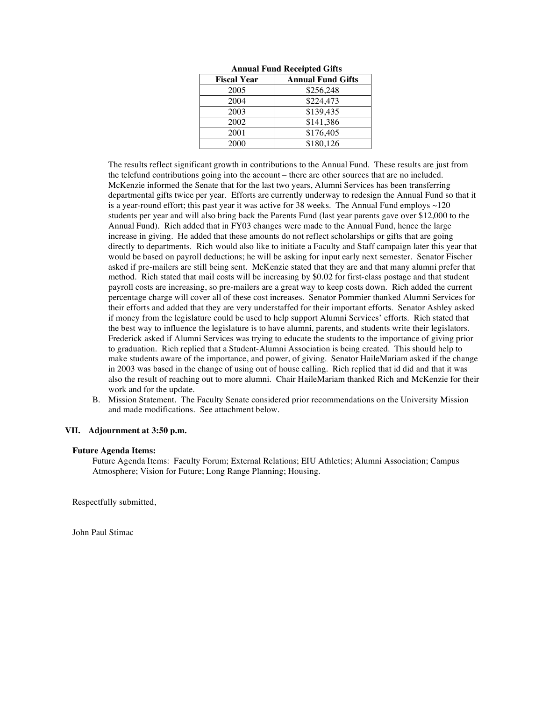| <b>Fiscal Year</b> | <b>Annual Fund Gifts</b> |
|--------------------|--------------------------|
| 2005               | \$256,248                |
| 2004               | \$224,473                |
| 2003               | \$139,435                |
| 2002               | \$141,386                |
| 2001               | \$176,405                |
| 2000               | \$180,126                |

**Annual Fund Receipted Gifts**

The results reflect significant growth in contributions to the Annual Fund. These results are just from the telefund contributions going into the account – there are other sources that are no included. McKenzie informed the Senate that for the last two years, Alumni Services has been transferring departmental gifts twice per year. Efforts are currently underway to redesign the Annual Fund so that it is a year-round effort; this past year it was active for 38 weeks. The Annual Fund employs  $\sim$ 120 students per year and will also bring back the Parents Fund (last year parents gave over \$12,000 to the Annual Fund). Rich added that in FY03 changes were made to the Annual Fund, hence the large increase in giving. He added that these amounts do not reflect scholarships or gifts that are going directly to departments. Rich would also like to initiate a Faculty and Staff campaign later this year that would be based on payroll deductions; he will be asking for input early next semester. Senator Fischer asked if pre-mailers are still being sent. McKenzie stated that they are and that many alumni prefer that method. Rich stated that mail costs will be increasing by \$0.02 for first-class postage and that student payroll costs are increasing, so pre-mailers are a great way to keep costs down. Rich added the current percentage charge will cover all of these cost increases. Senator Pommier thanked Alumni Services for their efforts and added that they are very understaffed for their important efforts. Senator Ashley asked if money from the legislature could be used to help support Alumni Services' efforts. Rich stated that the best way to influence the legislature is to have alumni, parents, and students write their legislators. Frederick asked if Alumni Services was trying to educate the students to the importance of giving prior to graduation. Rich replied that a Student-Alumni Association is being created. This should help to make students aware of the importance, and power, of giving. Senator HaileMariam asked if the change in 2003 was based in the change of using out of house calling. Rich replied that id did and that it was also the result of reaching out to more alumni. Chair HaileMariam thanked Rich and McKenzie for their work and for the update.

B. Mission Statement. The Faculty Senate considered prior recommendations on the University Mission and made modifications. See attachment below.

#### **VII. Adjournment at 3:50 p.m.**

#### **Future Agenda Items:**

Future Agenda Items: Faculty Forum; External Relations; EIU Athletics; Alumni Association; Campus Atmosphere; Vision for Future; Long Range Planning; Housing.

Respectfully submitted,

John Paul Stimac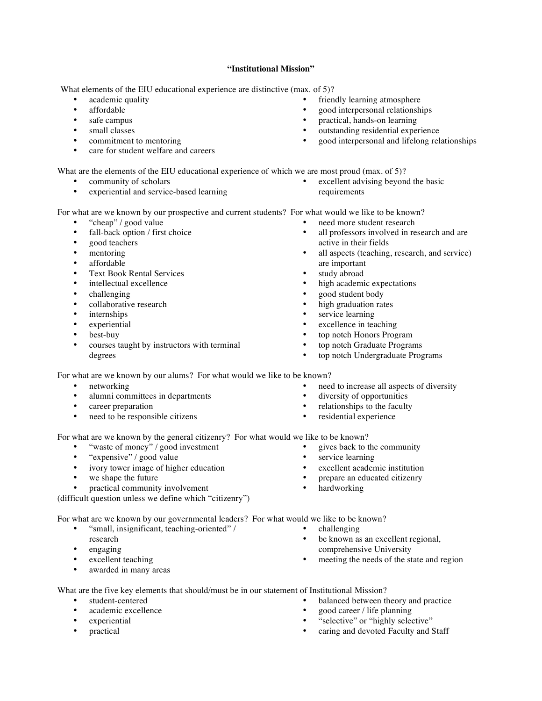#### **"Institutional Mission"**

What elements of the EIU educational experience are distinctive (max. of 5)?

- academic quality
- affordable
- safe campus
- small classes
- commitment to mentoring
- care for student welfare and careers

What are the elements of the EIU educational experience of which we are most proud (max. of 5)?

- community of scholars
- experiential and service-based learning

excellent advising beyond the basic requirements

all professors involved in research and are

For what are we known by our prospective and current students? For what would we like to be known?

- "cheap" / good value
- fall-back option / first choice
- good teachers
- mentoring
- affordable
- Text Book Rental Services
- intellectual excellence
- challenging
- collaborative research
- *internships*
- experiential
- best-buy
- courses taught by instructors with terminal degrees
- 

For what are we known by our alums? For what would we like to be known?

- networking
- alumni committees in departments
- career preparation
- need to be responsible citizens
- need to increase all aspects of diversity
- 
- 
- 

For what are we known by the general citizenry? For what would we like to be known?

- "waste of money" / good investment
- "expensive" / good value<br>• ivory tower image of high
- ivory tower image of higher education
- we shape the future<br>• practical community
- practical community involvement

(difficult question unless we define which "citizenry")

For what are we known by our governmental leaders? For what would we like to be known?

- "small, insignificant, teaching-oriented" / research
- engaging
- excellent teaching
- awarded in many areas
- 
- be known as an excellent regional, comprehensive University
- meeting the needs of the state and region

What are the five key elements that should/must be in our statement of Institutional Mission?

- student-centered
- academic excellence
- experiential
- practical
- balanced between theory and practice
- good career / life planning
- "selective" or "highly selective"
- caring and devoted Faculty and Staff

- active in their fields all aspects (teaching, research, and service)
- are important

need more student research

- study abroad
- high academic expectations
- good student body
- high graduation rates
- service learning
- excellence in teaching
- top notch Honors Program
- top notch Graduate Programs
- top notch Undergraduate Programs
- 
- diversity of opportunities
- relationships to the faculty
- residential experience
- 
- - gives back to the community
	- service learning
	- excellent academic institution
	- prepare an educated citizenry
	- hardworking
- - - challenging
		- -
- 
- good interpersonal and lifelong relationships
- -

friendly learning atmosphere • good interpersonal relationships • practical, hands-on learning outstanding residential experience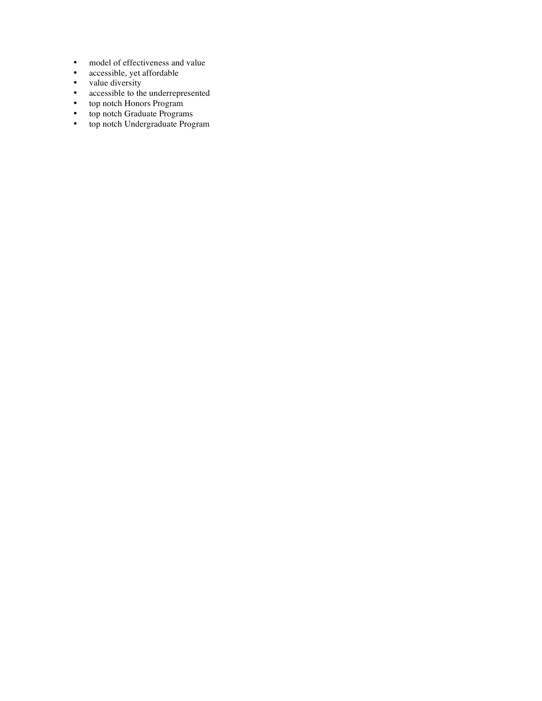- model of effectiveness and value<br>• accessible, vet affordable
- accessible, yet affordable
- value diversity
- accessible to the underrepresented
- top notch Honors Program
- top notch Graduate Programs
- top notch Undergraduate Program